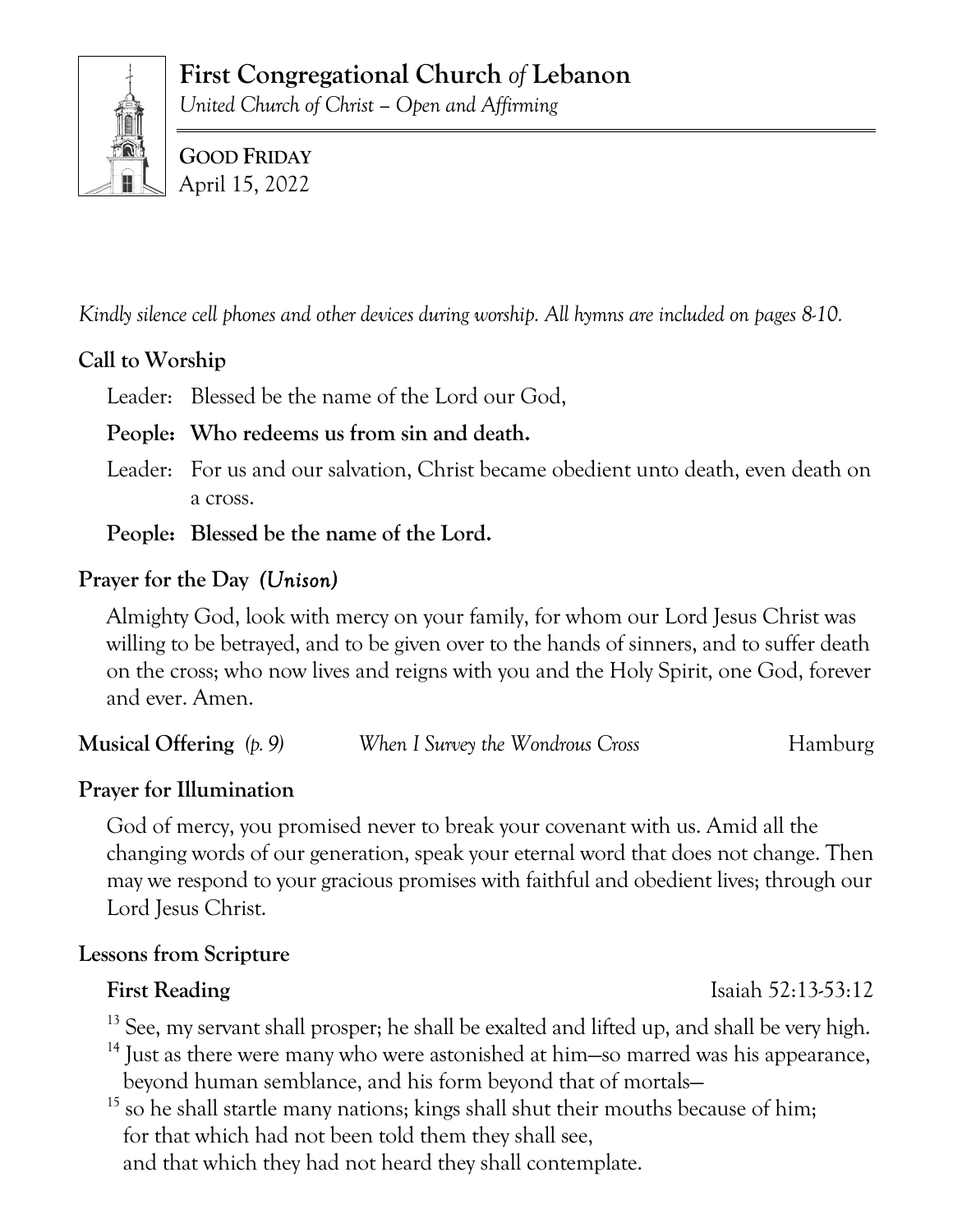

*United Church of Christ – Open and Affirming*

**GOOD FRIDAY** April 15, 2022

*Kindly silence cell phones and other devices during worship. All hymns are included on pages 8-10.*

## **Call to Worship**

Leader: Blessed be the name of the Lord our God,

## **People: Who redeems us from sin and death.**

Leader: For us and our salvation, Christ became obedient unto death, even death on a cross.

### **People: Blessed be the name of the Lord.**

## **Prayer for the Day** *(Unison)*

Almighty God, look with mercy on your family, for whom our Lord Jesus Christ was willing to be betrayed, and to be given over to the hands of sinners, and to suffer death on the cross; who now lives and reigns with you and the Holy Spirit, one God, forever and ever. Amen.

| Musical Offering $(p, 9)$ | When I Survey the Wondrous Cross | Hamburg |
|---------------------------|----------------------------------|---------|
|---------------------------|----------------------------------|---------|

### **Prayer for Illumination**

God of mercy, you promised never to break your covenant with us. Amid all the changing words of our generation, speak your eternal word that does not change. Then may we respond to your gracious promises with faithful and obedient lives; through our Lord Jesus Christ.

### **Lessons from Scripture**

<sup>13</sup> See, my servant shall prosper; he shall be exalted and lifted up, and shall be very high.

- $14$  Just as there were many who were astonished at him—so marred was his appearance, beyond human semblance, and his form beyond that of mortals—
- $15$  so he shall startle many nations; kings shall shut their mouths because of him; for that which had not been told them they shall see, and that which they had not heard they shall contemplate.

**First Reading** Isaiah 52:13-53:12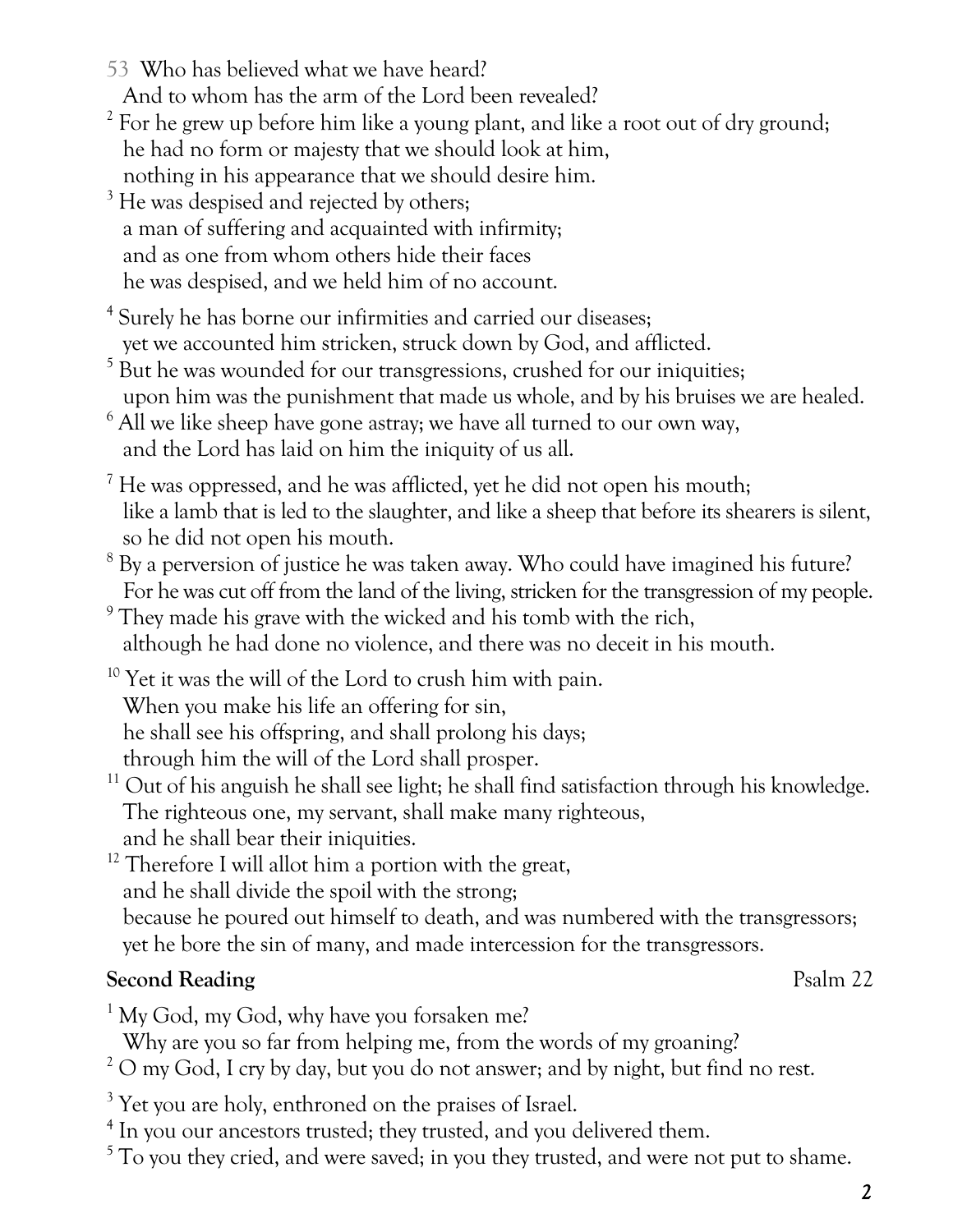53 Who has believed what we have heard?

And to whom has the arm of the Lord been revealed?

- $2^2$  For he grew up before him like a young plant, and like a root out of dry ground; he had no form or majesty that we should look at him, nothing in his appearance that we should desire him.
- $3$  He was despised and rejected by others; a man of suffering and acquainted with infirmity; and as one from whom others hide their faces he was despised, and we held him of no account.
- <sup>4</sup> Surely he has borne our infirmities and carried our diseases; yet we accounted him stricken, struck down by God, and afflicted.
- <sup>5</sup> But he was wounded for our transgressions, crushed for our iniquities; upon him was the punishment that made us whole, and by his bruises we are healed.
- $^6$  All we like sheep have gone astray; we have all turned to our own way, and the Lord has laid on him the iniquity of us all.
- <sup>7</sup> He was oppressed, and he was afflicted, yet he did not open his mouth; like a lamb that is led to the slaughter, and like a sheep that before its shearers is silent, so he did not open his mouth.
- $8$  By a perversion of justice he was taken away. Who could have imagined his future? For he was cut off from the land of the living, stricken for the transgression of my people.
- $9$  They made his grave with the wicked and his tomb with the rich, although he had done no violence, and there was no deceit in his mouth.

 $10$  Yet it was the will of the Lord to crush him with pain.

When you make his life an offering for sin,

he shall see his offspring, and shall prolong his days;

through him the will of the Lord shall prosper.

 $11$  Out of his anguish he shall see light; he shall find satisfaction through his knowledge. The righteous one, my servant, shall make many righteous, and he shall bear their iniquities.

 $12$  Therefore I will allot him a portion with the great, and he shall divide the spoil with the strong; because he poured out himself to death, and was numbered with the transgressors; yet he bore the sin of many, and made intercession for the transgressors.

# **Second Reading** Psalm 22

<sup>1</sup> My God, my God, why have you forsaken me?

Why are you so far from helping me, from the words of my groaning?

- $^2$  O my God, I cry by day, but you do not answer; and by night, but find no rest.
- <sup>3</sup> Yet you are holy, enthroned on the praises of Israel.
- <sup>4</sup> In you our ancestors trusted; they trusted, and you delivered them.
- $5$  To you they cried, and were saved; in you they trusted, and were not put to shame.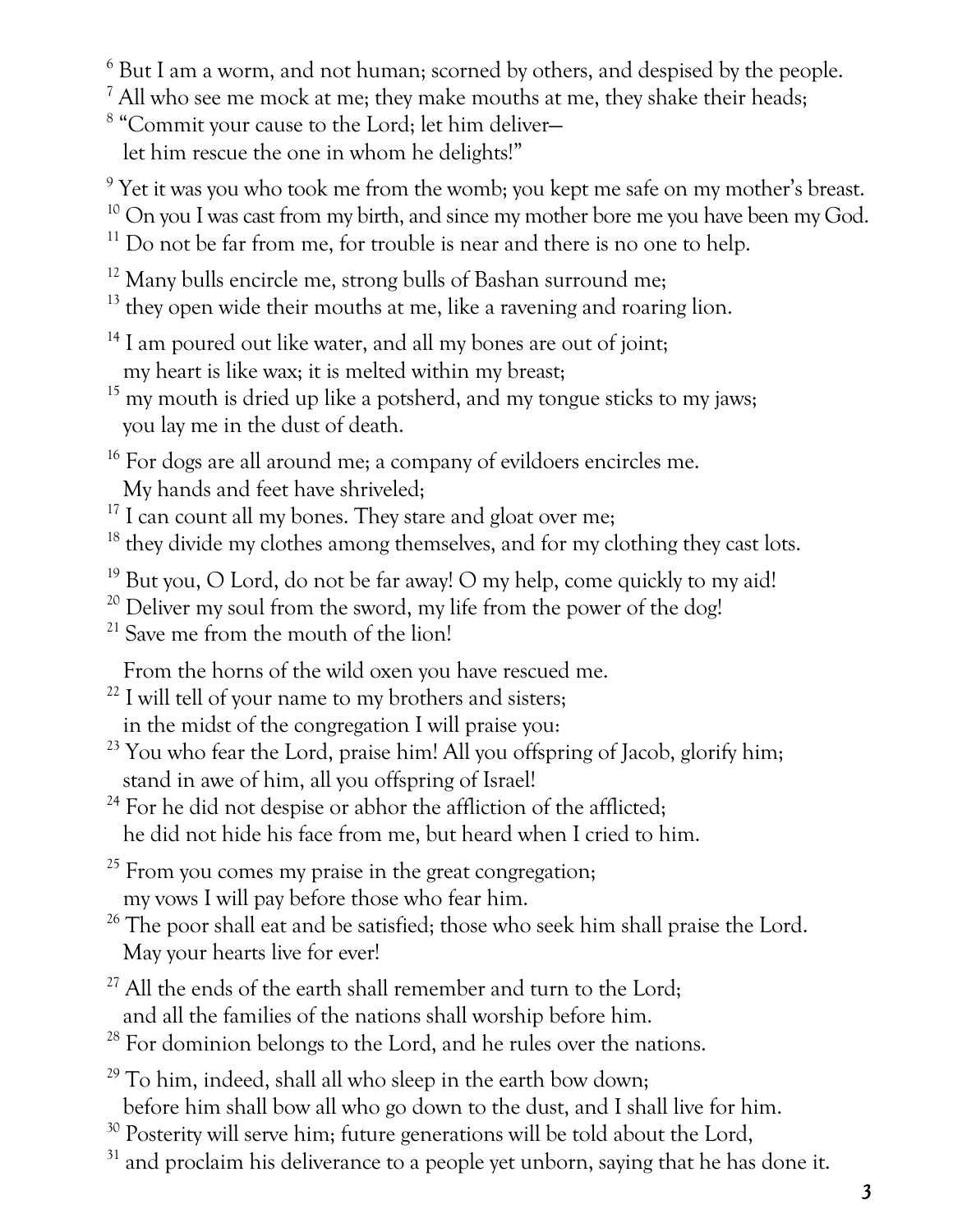- $^6$  But I am a worm, and not human; scorned by others, and despised by the people.
- <sup>7</sup> All who see me mock at me; they make mouths at me, they shake their heads;
- <sup>8</sup> "Commit your cause to the Lord; let him deliverlet him rescue the one in whom he delights!"
- <sup>9</sup> Yet it was you who took me from the womb; you kept me safe on my mother's breast.
- $10$  On you I was cast from my birth, and since my mother bore me you have been my God.
- $11$  Do not be far from me, for trouble is near and there is no one to help.
- <sup>12</sup> Many bulls encircle me, strong bulls of Bashan surround me;
- $13$  they open wide their mouths at me, like a ravening and roaring lion.
- <sup>14</sup> I am poured out like water, and all my bones are out of joint; my heart is like wax; it is melted within my breast;
- $15$  my mouth is dried up like a potsherd, and my tongue sticks to my jaws; you lay me in the dust of death.
- <sup>16</sup> For dogs are all around me; a company of evildoers encircles me. My hands and feet have shriveled;
- <sup>17</sup> I can count all my bones. They stare and gloat over me;
- <sup>18</sup> they divide my clothes among themselves, and for my clothing they cast lots.
- <sup>19</sup> But you, O Lord, do not be far away! O my help, come quickly to my aid!
- $20$  Deliver my soul from the sword, my life from the power of the dog!
- $21$  Save me from the mouth of the lion!

From the horns of the wild oxen you have rescued me.

- $22$  I will tell of your name to my brothers and sisters; in the midst of the congregation I will praise you:
- $^{23}$  You who fear the Lord, praise him! All you offspring of Jacob, glorify him; stand in awe of him, all you offspring of Israel!

 $24$  For he did not despise or abhor the affliction of the afflicted; he did not hide his face from me, but heard when I cried to him.

- <sup>25</sup> From you comes my praise in the great congregation; my vows I will pay before those who fear him.
- <sup>26</sup> The poor shall eat and be satisfied; those who seek him shall praise the Lord. May your hearts live for ever!
- $27$  All the ends of the earth shall remember and turn to the Lord; and all the families of the nations shall worship before him.
- <sup>28</sup> For dominion belongs to the Lord, and he rules over the nations.
- $29$  To him, indeed, shall all who sleep in the earth bow down;
- before him shall bow all who go down to the dust, and I shall live for him.
- $30$  Posterity will serve him; future generations will be told about the Lord,
- $31$  and proclaim his deliverance to a people yet unborn, saying that he has done it.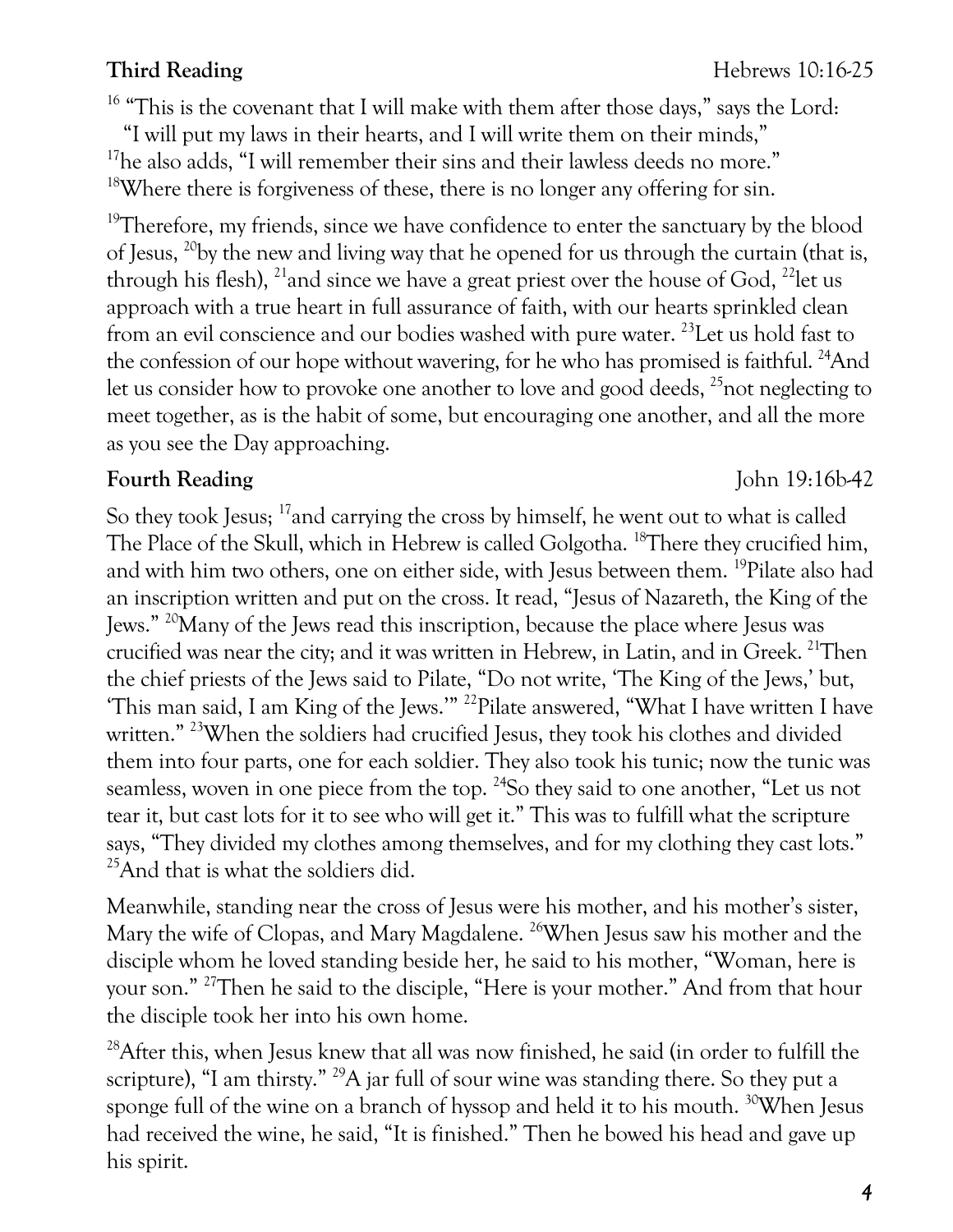# *4*

# **Third Reading** Hebrews 10:16-25

<sup>16</sup> "This is the covenant that I will make with them after those days," says the Lord:

 "I will put my laws in their hearts, and I will write them on their minds," <sup>17</sup>he also adds, "I will remember their sins and their lawless deeds no more." <sup>18</sup>Where there is forgiveness of these, there is no longer any offering for sin.

 $19$ Therefore, my friends, since we have confidence to enter the sanctuary by the blood of Jesus,  $^{20}$ by the new and living way that he opened for us through the curtain (that is, through his flesh),  $^{21}$  and since we have a great priest over the house of God,  $^{22}$  let us approach with a true heart in full assurance of faith, with our hearts sprinkled clean from an evil conscience and our bodies washed with pure water. <sup>23</sup> Let us hold fast to the confession of our hope without wavering, for he who has promised is faithful. <sup>24</sup>And let us consider how to provoke one another to love and good deeds,  $^{25}$ not neglecting to meet together, as is the habit of some, but encouraging one another, and all the more as you see the Day approaching.

## **Fourth Reading** John 19:16b-42

So they took Jesus; <sup>17</sup> and carrying the cross by himself, he went out to what is called The Place of the Skull, which in Hebrew is called Golgotha. <sup>18</sup>There they crucified him, and with him two others, one on either side, with Jesus between them. <sup>19</sup>Pilate also had an inscription written and put on the cross. It read, "Jesus of Nazareth, the King of the Jews." 20Many of the Jews read this inscription, because the place where Jesus was crucified was near the city; and it was written in Hebrew, in Latin, and in Greek. 21Then the chief priests of the Jews said to Pilate, "Do not write, 'The King of the Jews,' but, 'This man said, I am King of the Jews.'" 22Pilate answered, "What I have written I have written." <sup>23</sup>When the soldiers had crucified Jesus, they took his clothes and divided them into four parts, one for each soldier. They also took his tunic; now the tunic was seamless, woven in one piece from the top. <sup>24</sup>So they said to one another, "Let us not tear it, but cast lots for it to see who will get it." This was to fulfill what the scripture says, "They divided my clothes among themselves, and for my clothing they cast lots."  $25$ And that is what the soldiers did.

Meanwhile, standing near the cross of Jesus were his mother, and his mother's sister, Mary the wife of Clopas, and Mary Magdalene. <sup>26</sup>When Jesus saw his mother and the disciple whom he loved standing beside her, he said to his mother, "Woman, here is your son." 27Then he said to the disciple, "Here is your mother." And from that hour the disciple took her into his own home.

 $28$ After this, when Jesus knew that all was now finished, he said (in order to fulfill the scripture), "I am thirsty." <sup>29</sup>A jar full of sour wine was standing there. So they put a sponge full of the wine on a branch of hyssop and held it to his mouth. <sup>30</sup>When Jesus had received the wine, he said, "It is finished." Then he bowed his head and gave up his spirit.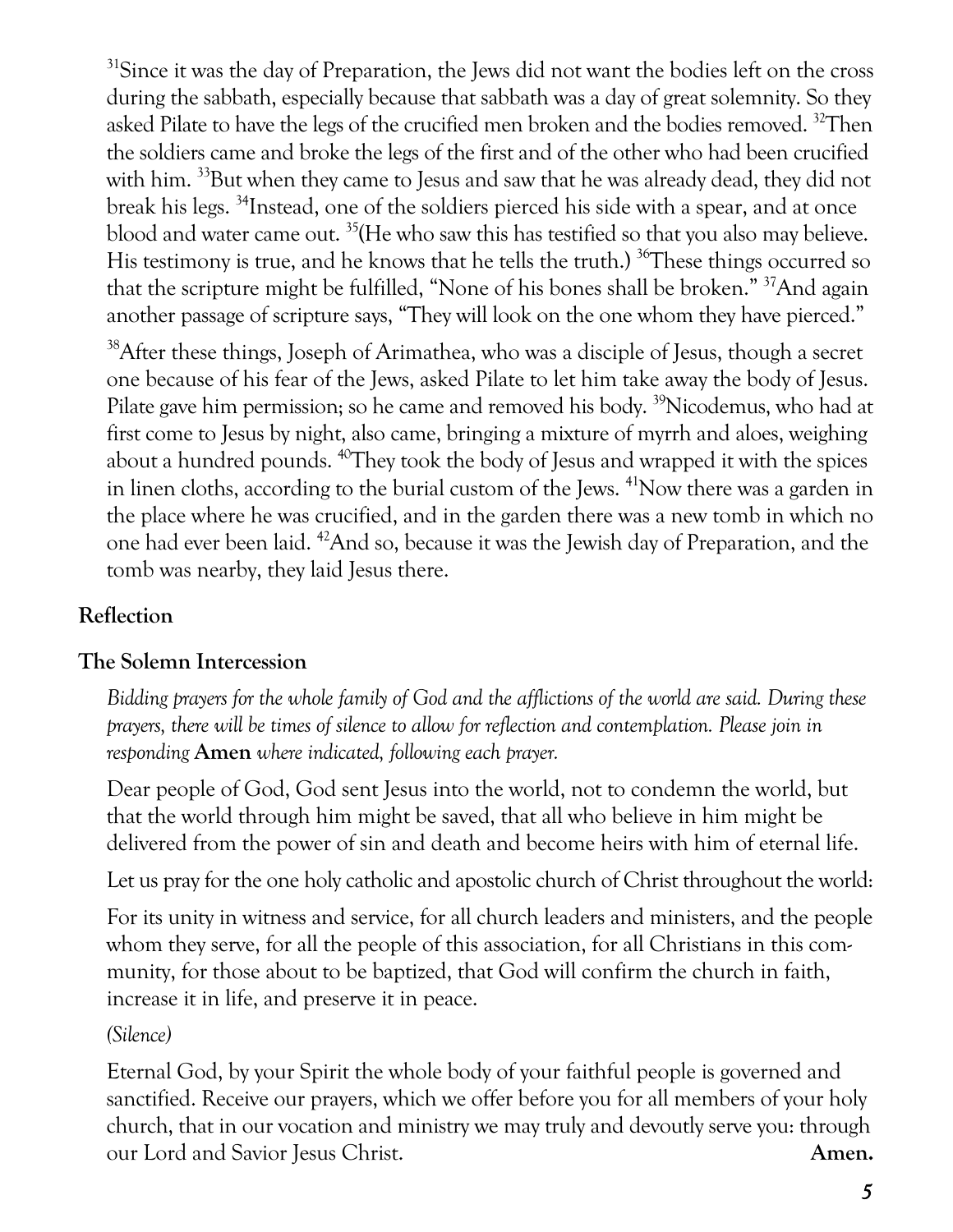$31$ Since it was the day of Preparation, the Jews did not want the bodies left on the cross during the sabbath, especially because that sabbath was a day of great solemnity. So they asked Pilate to have the legs of the crucified men broken and the bodies removed. <sup>32</sup>Then the soldiers came and broke the legs of the first and of the other who had been crucified with him. <sup>33</sup>But when they came to Jesus and saw that he was already dead, they did not break his legs. 34Instead, one of the soldiers pierced his side with a spear, and at once blood and water came out. <sup>35</sup> (He who saw this has testified so that you also may believe. His testimony is true, and he knows that he tells the truth.)  $36$ These things occurred so that the scripture might be fulfilled, "None of his bones shall be broken." 37And again another passage of scripture says, "They will look on the one whom they have pierced."

<sup>38</sup>After these things, Joseph of Arimathea, who was a disciple of Jesus, though a secret one because of his fear of the Jews, asked Pilate to let him take away the body of Jesus. Pilate gave him permission; so he came and removed his body. <sup>39</sup>Nicodemus, who had at first come to Jesus by night, also came, bringing a mixture of myrrh and aloes, weighing about a hundred pounds. 40They took the body of Jesus and wrapped it with the spices in linen cloths, according to the burial custom of the Jews. <sup>41</sup>Now there was a garden in the place where he was crucified, and in the garden there was a new tomb in which no one had ever been laid. 42And so, because it was the Jewish day of Preparation, and the tomb was nearby, they laid Jesus there.

## **Reflection**

# **The Solemn Intercession**

*Bidding prayers for the whole family of God and the afflictions of the world are said. During these prayers, there will be times of silence to allow for reflection and contemplation. Please join in responding* **Amen** *where indicated, following each prayer.*

Dear people of God, God sent Jesus into the world, not to condemn the world, but that the world through him might be saved, that all who believe in him might be delivered from the power of sin and death and become heirs with him of eternal life.

Let us pray for the one holy catholic and apostolic church of Christ throughout the world:

For its unity in witness and service, for all church leaders and ministers, and the people whom they serve, for all the people of this association, for all Christians in this community, for those about to be baptized, that God will confirm the church in faith, increase it in life, and preserve it in peace.

## *(Silence)*

Eternal God, by your Spirit the whole body of your faithful people is governed and sanctified. Receive our prayers, which we offer before you for all members of your holy church, that in our vocation and ministry we may truly and devoutly serve you: through our Lord and Savior Jesus Christ. **Amen.**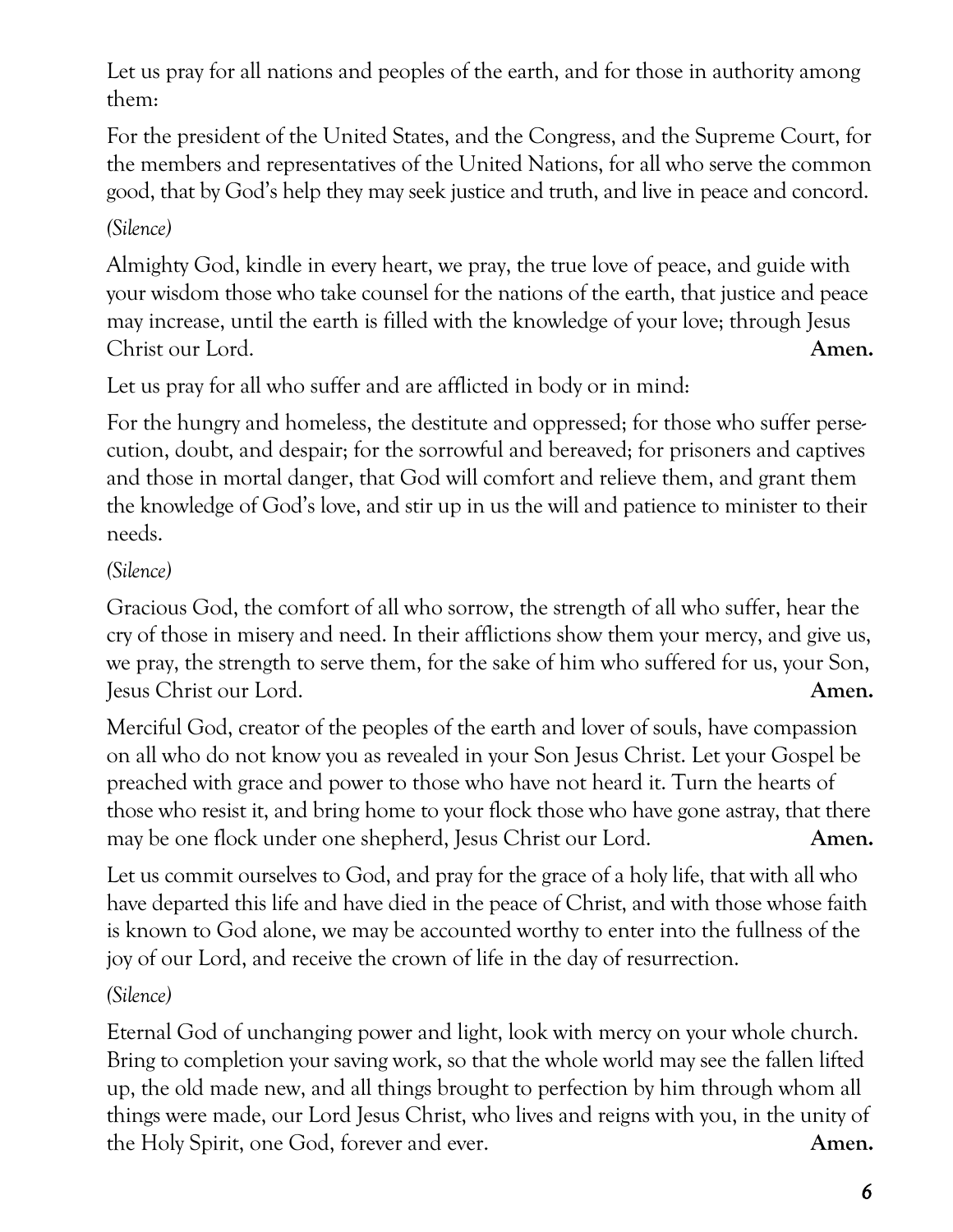Let us pray for all nations and peoples of the earth, and for those in authority among them:

For the president of the United States, and the Congress, and the Supreme Court, for the members and representatives of the United Nations, for all who serve the common good, that by God's help they may seek justice and truth, and live in peace and concord.

# *(Silence)*

Almighty God, kindle in every heart, we pray, the true love of peace, and guide with your wisdom those who take counsel for the nations of the earth, that justice and peace may increase, until the earth is filled with the knowledge of your love; through Jesus Christ our Lord. **Amen.**

Let us pray for all who suffer and are afflicted in body or in mind:

For the hungry and homeless, the destitute and oppressed; for those who suffer persecution, doubt, and despair; for the sorrowful and bereaved; for prisoners and captives and those in mortal danger, that God will comfort and relieve them, and grant them the knowledge of God's love, and stir up in us the will and patience to minister to their needs.

## *(Silence)*

Gracious God, the comfort of all who sorrow, the strength of all who suffer, hear the cry of those in misery and need. In their afflictions show them your mercy, and give us, we pray, the strength to serve them, for the sake of him who suffered for us, your Son, Jesus Christ our Lord. **Amen.**

Merciful God, creator of the peoples of the earth and lover of souls, have compassion on all who do not know you as revealed in your Son Jesus Christ. Let your Gospel be preached with grace and power to those who have not heard it. Turn the hearts of those who resist it, and bring home to your flock those who have gone astray, that there may be one flock under one shepherd, Jesus Christ our Lord. **Amen.**

Let us commit ourselves to God, and pray for the grace of a holy life, that with all who have departed this life and have died in the peace of Christ, and with those whose faith is known to God alone, we may be accounted worthy to enter into the fullness of the joy of our Lord, and receive the crown of life in the day of resurrection.

# *(Silence)*

Eternal God of unchanging power and light, look with mercy on your whole church. Bring to completion your saving work, so that the whole world may see the fallen lifted up, the old made new, and all things brought to perfection by him through whom all things were made, our Lord Jesus Christ, who lives and reigns with you, in the unity of the Holy Spirit, one God, forever and ever. **Amen.**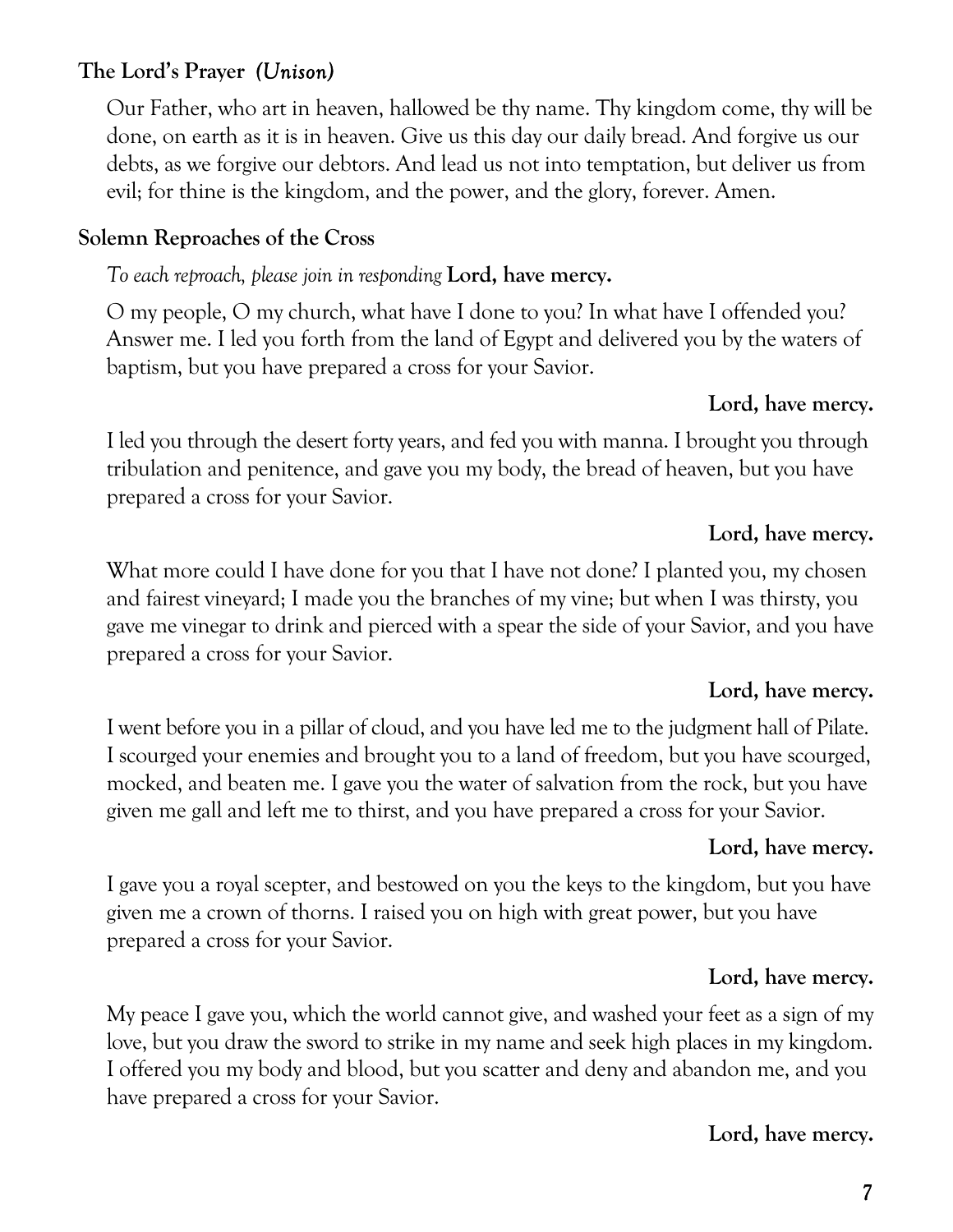# **The Lord's Prayer** *(Unison)*

Our Father, who art in heaven, hallowed be thy name. Thy kingdom come, thy will be done, on earth as it is in heaven. Give us this day our daily bread. And forgive us our debts, as we forgive our debtors. And lead us not into temptation, but deliver us from evil; for thine is the kingdom, and the power, and the glory, forever. Amen.

#### **Solemn Reproaches of the Cross**

*To each reproach, please join in responding* **Lord, have mercy.**

O my people, O my church, what have I done to you? In what have I offended you? Answer me. I led you forth from the land of Egypt and delivered you by the waters of baptism, but you have prepared a cross for your Savior.

#### **Lord, have mercy.**

I led you through the desert forty years, and fed you with manna. I brought you through tribulation and penitence, and gave you my body, the bread of heaven, but you have prepared a cross for your Savior.

#### **Lord, have mercy.**

What more could I have done for you that I have not done? I planted you, my chosen and fairest vineyard; I made you the branches of my vine; but when I was thirsty, you gave me vinegar to drink and pierced with a spear the side of your Savior, and you have prepared a cross for your Savior.

#### **Lord, have mercy.**

I went before you in a pillar of cloud, and you have led me to the judgment hall of Pilate. I scourged your enemies and brought you to a land of freedom, but you have scourged, mocked, and beaten me. I gave you the water of salvation from the rock, but you have given me gall and left me to thirst, and you have prepared a cross for your Savior.

#### **Lord, have mercy.**

I gave you a royal scepter, and bestowed on you the keys to the kingdom, but you have given me a crown of thorns. I raised you on high with great power, but you have prepared a cross for your Savior.

#### **Lord, have mercy.**

My peace I gave you, which the world cannot give, and washed your feet as a sign of my love, but you draw the sword to strike in my name and seek high places in my kingdom. I offered you my body and blood, but you scatter and deny and abandon me, and you have prepared a cross for your Savior.

#### **Lord, have mercy.**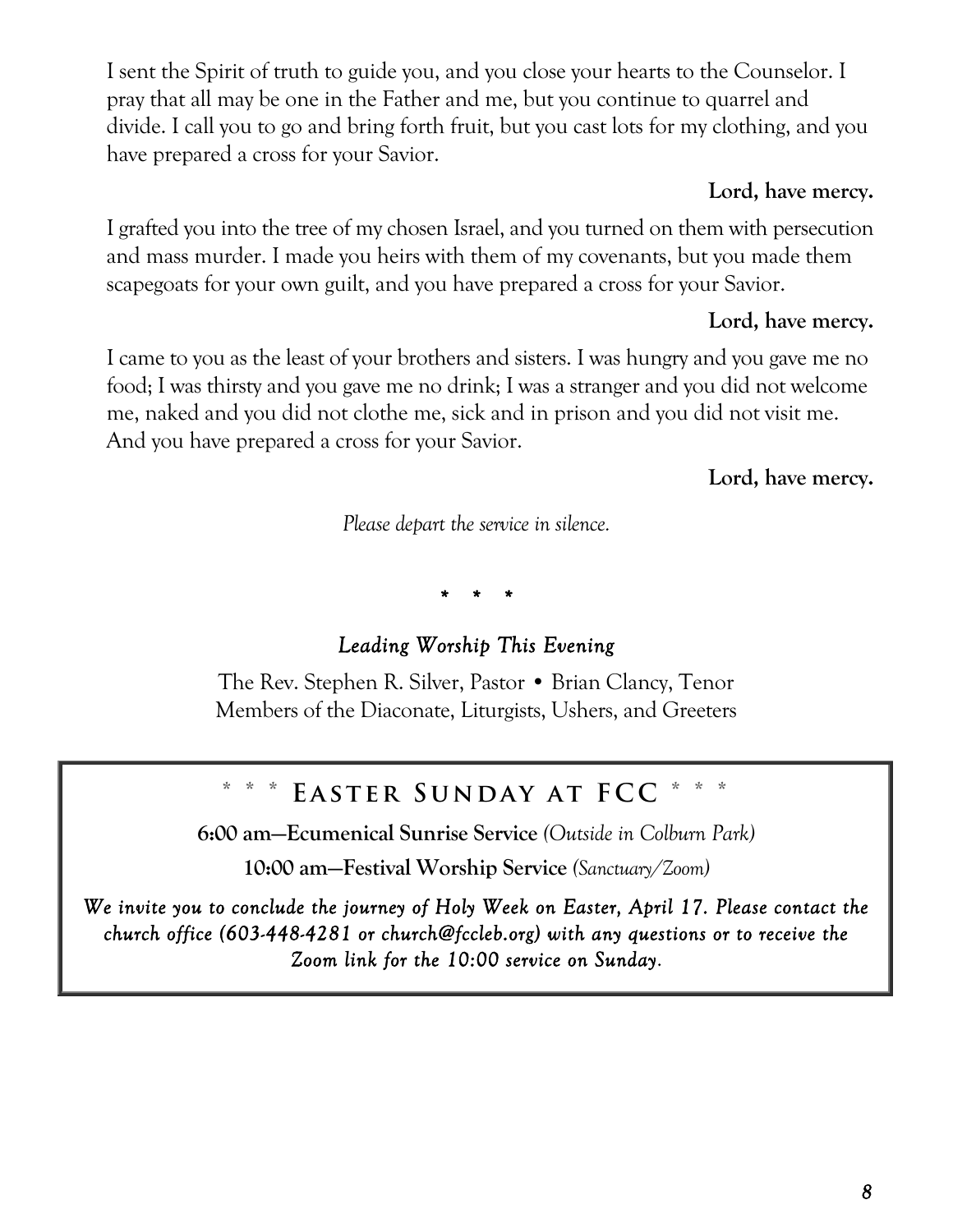I sent the Spirit of truth to guide you, and you close your hearts to the Counselor. I pray that all may be one in the Father and me, but you continue to quarrel and divide. I call you to go and bring forth fruit, but you cast lots for my clothing, and you have prepared a cross for your Savior.

#### **Lord, have mercy.**

I grafted you into the tree of my chosen Israel, and you turned on them with persecution and mass murder. I made you heirs with them of my covenants, but you made them scapegoats for your own guilt, and you have prepared a cross for your Savior.

## **Lord, have mercy.**

I came to you as the least of your brothers and sisters. I was hungry and you gave me no food; I was thirsty and you gave me no drink; I was a stranger and you did not welcome me, naked and you did not clothe me, sick and in prison and you did not visit me. And you have prepared a cross for your Savior.

**Lord, have mercy.**

*Please depart the service in silence.*

*\* \* \** 

# *Leading Worship This Evening*

The Rev. Stephen R. Silver, Pastor • Brian Clancy, Tenor Members of the Diaconate, Liturgists, Ushers, and Greeters

# **EASTER SUNDAY AT FCC**

**6:00 am—Ecumenical Sunrise Service** *(Outside in Colburn Park)*

**10:00 am—Festival Worship Service** *(Sanctuary/Zoom)*

*We invite you to conclude the journey of Holy Week on Easter, April 17. Please contact the church office (603-448-4281 or church@fccleb.org) with any questions or to receive the Zoom link for the 10:00 service on Sunday*.